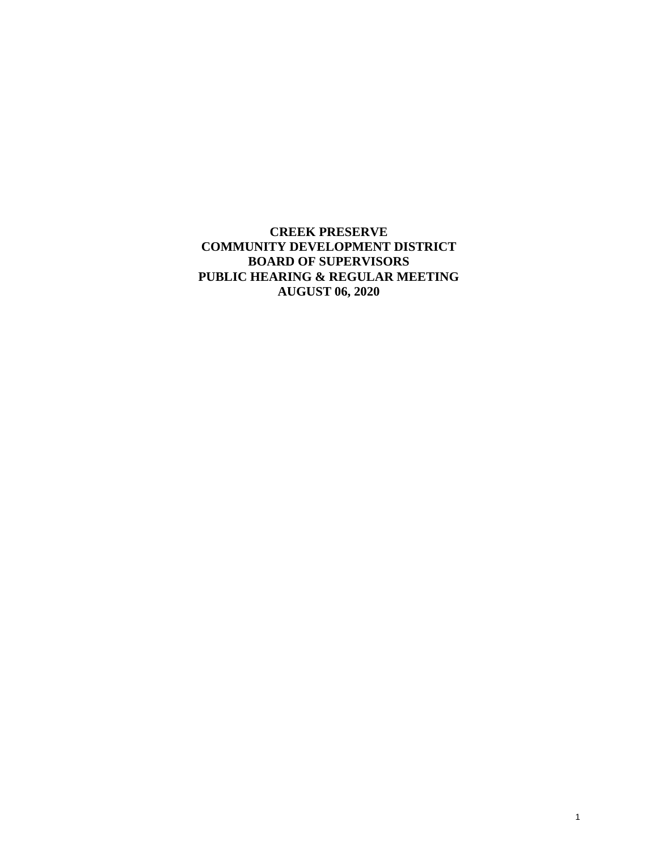**CREEK PRESERVE COMMUNITY DEVELOPMENT DISTRICT BOARD OF SUPERVISORS PUBLIC HEARING & REGULAR MEETING AUGUST 06, 2020**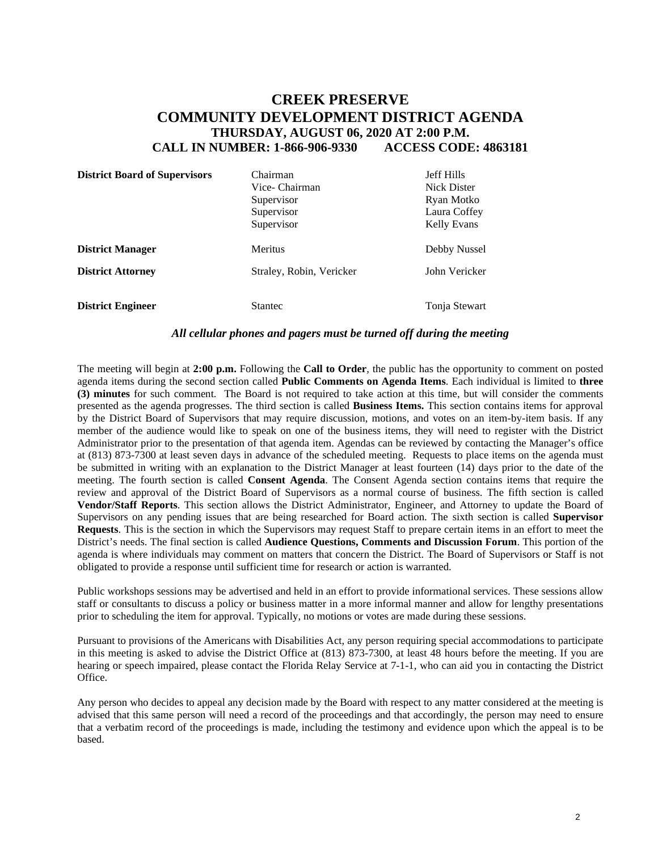# **CREEK PRESERVE COMMUNITY DEVELOPMENT DISTRICT AGENDA THURSDAY, AUGUST 06, 2020 AT 2:00 P.M. CALL IN NUMBER: 1-866-906-9330 ACCESS CODE: 4863181**

| <b>District Board of Supervisors</b> | Chairman<br>Vice- Chairman<br>Supervisor<br>Supervisor<br>Supervisor | <b>Jeff Hills</b><br><b>Nick Dister</b><br>Ryan Motko<br>Laura Coffey<br><b>Kelly Evans</b> |
|--------------------------------------|----------------------------------------------------------------------|---------------------------------------------------------------------------------------------|
| <b>District Manager</b>              | <b>Meritus</b>                                                       | Debby Nussel                                                                                |
| <b>District Attorney</b>             | Straley, Robin, Vericker                                             | John Vericker                                                                               |
| <b>District Engineer</b>             | <b>Stantec</b>                                                       | Tonja Stewart                                                                               |

#### *All cellular phones and pagers must be turned off during the meeting*

The meeting will begin at **2:00 p.m.** Following the **Call to Order**, the public has the opportunity to comment on posted agenda items during the second section called **Public Comments on Agenda Items**. Each individual is limited to **three (3) minutes** for such comment. The Board is not required to take action at this time, but will consider the comments presented as the agenda progresses. The third section is called **Business Items.** This section contains items for approval by the District Board of Supervisors that may require discussion, motions, and votes on an item-by-item basis. If any member of the audience would like to speak on one of the business items, they will need to register with the District Administrator prior to the presentation of that agenda item. Agendas can be reviewed by contacting the Manager's office at (813) 873-7300 at least seven days in advance of the scheduled meeting. Requests to place items on the agenda must be submitted in writing with an explanation to the District Manager at least fourteen (14) days prior to the date of the meeting. The fourth section is called **Consent Agenda**. The Consent Agenda section contains items that require the review and approval of the District Board of Supervisors as a normal course of business. The fifth section is called **Vendor/Staff Reports**. This section allows the District Administrator, Engineer, and Attorney to update the Board of Supervisors on any pending issues that are being researched for Board action. The sixth section is called **Supervisor Requests**. This is the section in which the Supervisors may request Staff to prepare certain items in an effort to meet the District's needs. The final section is called **Audience Questions, Comments and Discussion Forum**. This portion of the agenda is where individuals may comment on matters that concern the District. The Board of Supervisors or Staff is not obligated to provide a response until sufficient time for research or action is warranted.

Public workshops sessions may be advertised and held in an effort to provide informational services. These sessions allow staff or consultants to discuss a policy or business matter in a more informal manner and allow for lengthy presentations prior to scheduling the item for approval. Typically, no motions or votes are made during these sessions.

Pursuant to provisions of the Americans with Disabilities Act, any person requiring special accommodations to participate in this meeting is asked to advise the District Office at (813) 873-7300, at least 48 hours before the meeting. If you are hearing or speech impaired, please contact the Florida Relay Service at 7-1-1, who can aid you in contacting the District Office.

Any person who decides to appeal any decision made by the Board with respect to any matter considered at the meeting is advised that this same person will need a record of the proceedings and that accordingly, the person may need to ensure that a verbatim record of the proceedings is made, including the testimony and evidence upon which the appeal is to be based.